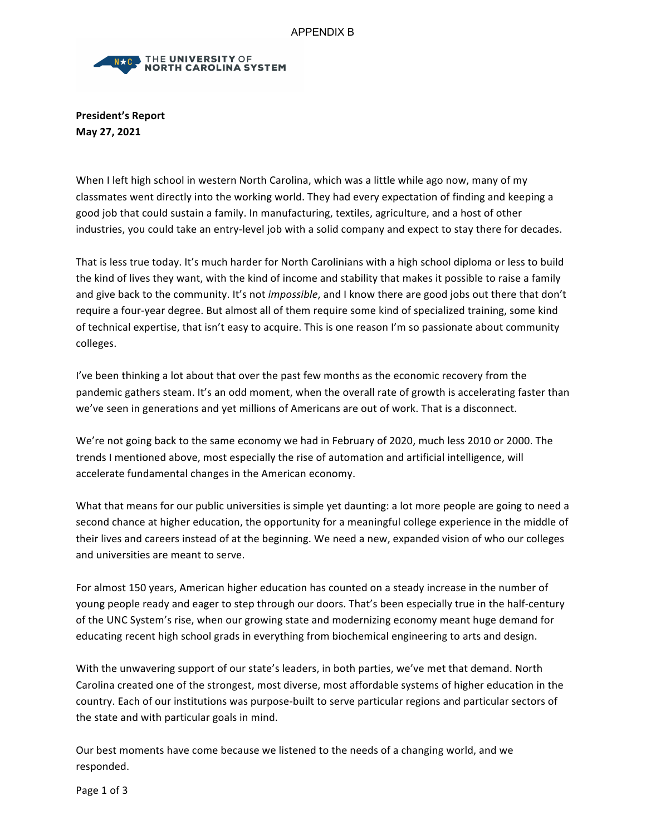

**President's Report May 27, 2021**

When I left high school in western North Carolina, which was a little while ago now, many of my classmates went directly into the working world. They had every expectation of finding and keeping a good job that could sustain a family. In manufacturing, textiles, agriculture, and a host of other industries, you could take an entry-level job with a solid company and expect to stay there for decades.

That is less true today. It's much harder for North Carolinians with a high school diploma or less to build the kind of lives they want, with the kind of income and stability that makes it possible to raise a family and give back to the community. It's not *impossible*, and I know there are good jobs out there that don't require a four-year degree. But almost all of them require some kind of specialized training, some kind of technical expertise, that isn't easy to acquire. This is one reason I'm so passionate about community colleges. 

I've been thinking a lot about that over the past few months as the economic recovery from the pandemic gathers steam. It's an odd moment, when the overall rate of growth is accelerating faster than we've seen in generations and yet millions of Americans are out of work. That is a disconnect.

We're not going back to the same economy we had in February of 2020, much less 2010 or 2000. The trends I mentioned above, most especially the rise of automation and artificial intelligence, will accelerate fundamental changes in the American economy.

What that means for our public universities is simple yet daunting: a lot more people are going to need a second chance at higher education, the opportunity for a meaningful college experience in the middle of their lives and careers instead of at the beginning. We need a new, expanded vision of who our colleges and universities are meant to serve.

For almost 150 years, American higher education has counted on a steady increase in the number of young people ready and eager to step through our doors. That's been especially true in the half-century of the UNC System's rise, when our growing state and modernizing economy meant huge demand for educating recent high school grads in everything from biochemical engineering to arts and design.

With the unwavering support of our state's leaders, in both parties, we've met that demand. North Carolina created one of the strongest, most diverse, most affordable systems of higher education in the country. Each of our institutions was purpose-built to serve particular regions and particular sectors of the state and with particular goals in mind.

Our best moments have come because we listened to the needs of a changing world, and we responded.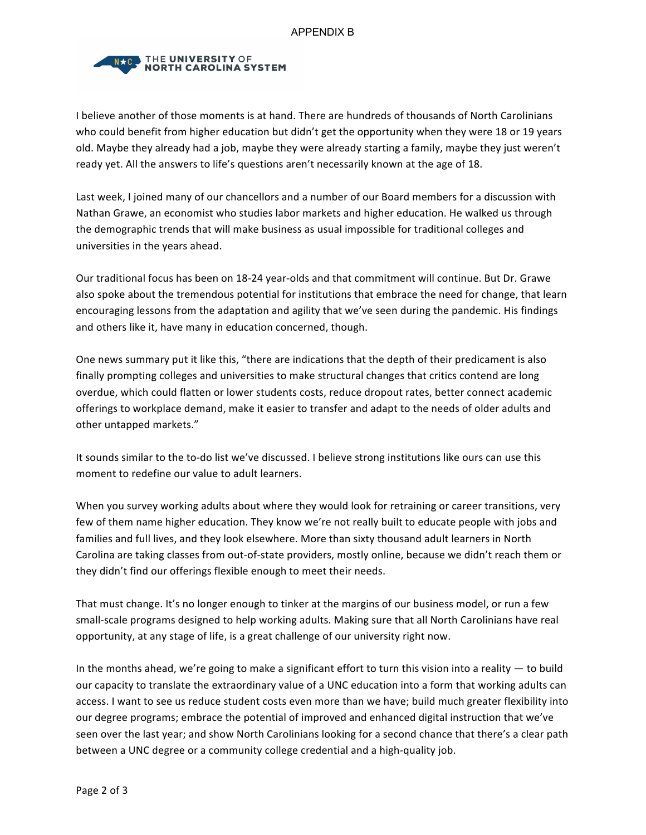

I believe another of those moments is at hand. There are hundreds of thousands of North Carolinians who could benefit from higher education but didn't get the opportunity when they were 18 or 19 years old. Maybe they already had a job, maybe they were already starting a family, maybe they just weren't ready yet. All the answers to life's questions aren't necessarily known at the age of 18.

Last week, I joined many of our chancellors and a number of our Board members for a discussion with Nathan Grawe, an economist who studies labor markets and higher education. He walked us through the demographic trends that will make business as usual impossible for traditional colleges and universities in the years ahead.

Our traditional focus has been on 18-24 year-olds and that commitment will continue. But Dr. Grawe also spoke about the tremendous potential for institutions that embrace the need for change, that learn encouraging lessons from the adaptation and agility that we've seen during the pandemic. His findings and others like it, have many in education concerned, though.

One news summary put it like this, "there are indications that the depth of their predicament is also finally prompting colleges and universities to make structural changes that critics contend are long overdue, which could flatten or lower students costs, reduce dropout rates, better connect academic offerings to workplace demand, make it easier to transfer and adapt to the needs of older adults and other untapped markets."

It sounds similar to the to-do list we've discussed. I believe strong institutions like ours can use this moment to redefine our value to adult learners.

When you survey working adults about where they would look for retraining or career transitions, very few of them name higher education. They know we're not really built to educate people with jobs and families and full lives, and they look elsewhere. More than sixty thousand adult learners in North Carolina are taking classes from out-of-state providers, mostly online, because we didn't reach them or they didn't find our offerings flexible enough to meet their needs.

That must change. It's no longer enough to tinker at the margins of our business model, or run a few small-scale programs designed to help working adults. Making sure that all North Carolinians have real opportunity, at any stage of life, is a great challenge of our university right now.

In the months ahead, we're going to make a significant effort to turn this vision into a reality  $-$  to build our capacity to translate the extraordinary value of a UNC education into a form that working adults can access. I want to see us reduce student costs even more than we have; build much greater flexibility into our degree programs; embrace the potential of improved and enhanced digital instruction that we've seen over the last year; and show North Carolinians looking for a second chance that there's a clear path between a UNC degree or a community college credential and a high-quality job.